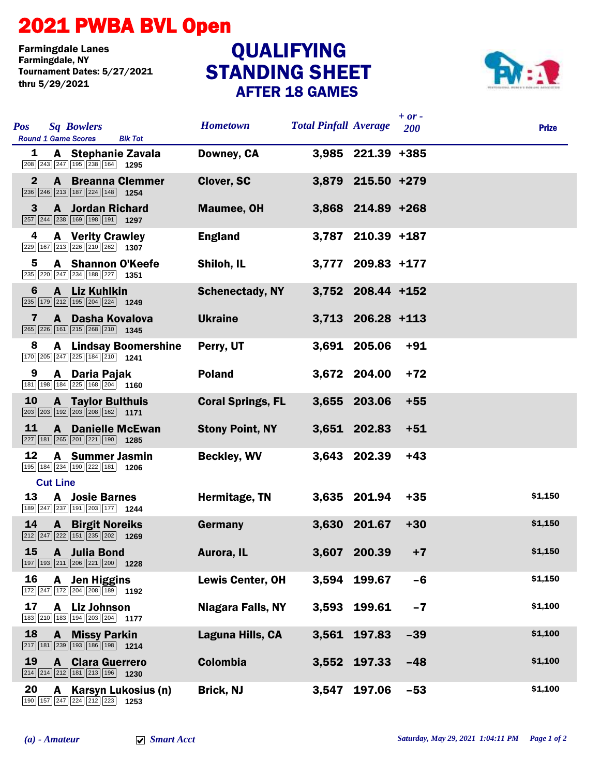## 2021 PWBA BVL Open

Farmingdale Lanes Tournament Dates: 5/27/2021 thru 5/29/2021

## STANDING SHEET AFTER 18 GAMES **QUALIFYING**



| <b>Pos</b>   | <b>Sq Bowlers</b><br><b>Round 1 Game Scores</b><br><b>Blk Tot</b>                                                               | <b>Hometown</b>          | <b>Total Pinfall Average</b> |                   | $+ or -$<br><b>200</b> | <b>Prize</b> |
|--------------|---------------------------------------------------------------------------------------------------------------------------------|--------------------------|------------------------------|-------------------|------------------------|--------------|
| 1            | A Stephanie Zavala<br>208 243 247 195 238 164 1295                                                                              | Downey, CA               |                              | 3,985 221.39 +385 |                        |              |
| $\mathbf{2}$ | <b>A</b> Breanna Clemmer<br>$\boxed{236}$ $\boxed{246}$ $\boxed{213}$ $\boxed{187}$ $\boxed{224}$ $\boxed{148}$ <b>1254</b>     | <b>Clover, SC</b>        |                              | 3,879 215.50 +279 |                        |              |
| 3            | <b>A</b> Jordan Richard<br>257 244 238 169 198 191 1297                                                                         | <b>Maumee, OH</b>        |                              | 3,868 214.89 +268 |                        |              |
| 4            | <b>A</b> Verity Crawley<br>229 167 213 226 210 262 1307                                                                         | <b>England</b>           |                              | 3,787 210.39 +187 |                        |              |
| 5            | <b>A</b> Shannon O'Keefe                                                                                                        | Shiloh, IL               |                              | 3,777 209.83 +177 |                        |              |
| 6            | A Liz Kuhlkin<br>235 179 212 195 204 224 1249                                                                                   | <b>Schenectady, NY</b>   |                              | 3,752 208.44 +152 |                        |              |
| 7            | A Dasha Kovalova<br>265 226 161 215 268 210 1345                                                                                | <b>Ukraine</b>           |                              | 3,713 206.28 +113 |                        |              |
| 8            | <b>A</b> Lindsay Boomershine<br>$\boxed{170}$ $\boxed{205}$ $\boxed{247}$ $\boxed{225}$ $\boxed{184}$ $\boxed{210}$ <b>1241</b> | Perry, UT                |                              | 3,691 205.06      | $+91$                  |              |
| 9            | A Daria Pajak<br>$\boxed{181}$ $\boxed{198}$ $\boxed{184}$ $\boxed{225}$ $\boxed{168}$ $\boxed{204}$ <b>1160</b>                | <b>Poland</b>            |                              | 3,672 204.00      | $+72$                  |              |
| 10           | <b>A</b> Taylor Bulthuis<br>$\boxed{203}$ $\boxed{203}$ $\boxed{192}$ $\boxed{203}$ $\boxed{208}$ $\boxed{162}$ <b>1171</b>     | <b>Coral Springs, FL</b> |                              | 3,655 203.06      | $+55$                  |              |
| 11           | $\mathbf{A}$<br><b>Danielle McEwan</b><br>227 181 265 201 221 190 1285                                                          | <b>Stony Point, NY</b>   |                              | 3,651 202.83      | $+51$                  |              |
| 12           | <b>A</b> Summer Jasmin<br>195 184 234 190 222 181 1206                                                                          | <b>Beckley, WV</b>       |                              | 3,643 202.39      | $+43$                  |              |
|              | <b>Cut Line</b>                                                                                                                 |                          |                              |                   |                        |              |
| 13           | <b>A</b> Josie Barnes<br>$\boxed{189}$ $\boxed{247}$ $\boxed{237}$ $\boxed{191}$ $\boxed{203}$ $\boxed{177}$ <b>1244</b>        | Hermitage, TN            |                              | 3,635 201.94      | $+35$                  | \$1,150      |
| 14           | <b>A</b> Birgit Noreiks<br>$\boxed{212}\boxed{247}\boxed{222}\boxed{151}\boxed{235}\boxed{202}$ 1269                            | <b>Germany</b>           |                              | 3,630 201.67      | $+30$                  | \$1,150      |
|              | 15 A Julia Bond<br>$\boxed{197}$ $\boxed{193}$ $\boxed{211}$ $\boxed{206}$ $\boxed{221}$ $\boxed{200}$ <b>1228</b>              | Aurora, IL               |                              | 3,607 200.39      | $+7$                   | \$1,150      |
| 16           | <b>Jen Higgins</b><br>A<br>172 247 172 204 208 189 192                                                                          | <b>Lewis Center, OH</b>  | 3,594                        | 199.67            | $-6$                   | \$1,150      |
| 17           | Liz Johnson<br>A<br>$\boxed{183}\boxed{210}\boxed{183}\boxed{194}\boxed{203}\boxed{204}$ 1177                                   | <b>Niagara Falls, NY</b> | 3,593                        | 199.61            | $-7$                   | \$1,100      |
| 18           | <b>Missy Parkin</b><br>A<br>217 181 239 193 186 198 1214                                                                        | Laguna Hills, CA         |                              | 3,561 197.83      | $-39$                  | \$1,100      |
| 19           | <b>Clara Guerrero</b><br>A<br>$\boxed{214}$ $\boxed{214}$ $\boxed{212}$ $\boxed{181}$ $\boxed{213}$ $\boxed{196}$ <b>1230</b>   | Colombia                 | 3,552                        | 197.33            | $-48$                  | \$1,100      |
| 20           | Karsyn Lukosius (n)<br>A<br>190 157 247 224 212 223 1253                                                                        | <b>Brick, NJ</b>         | 3,547                        | 197.06            | $-53$                  | \$1,100      |